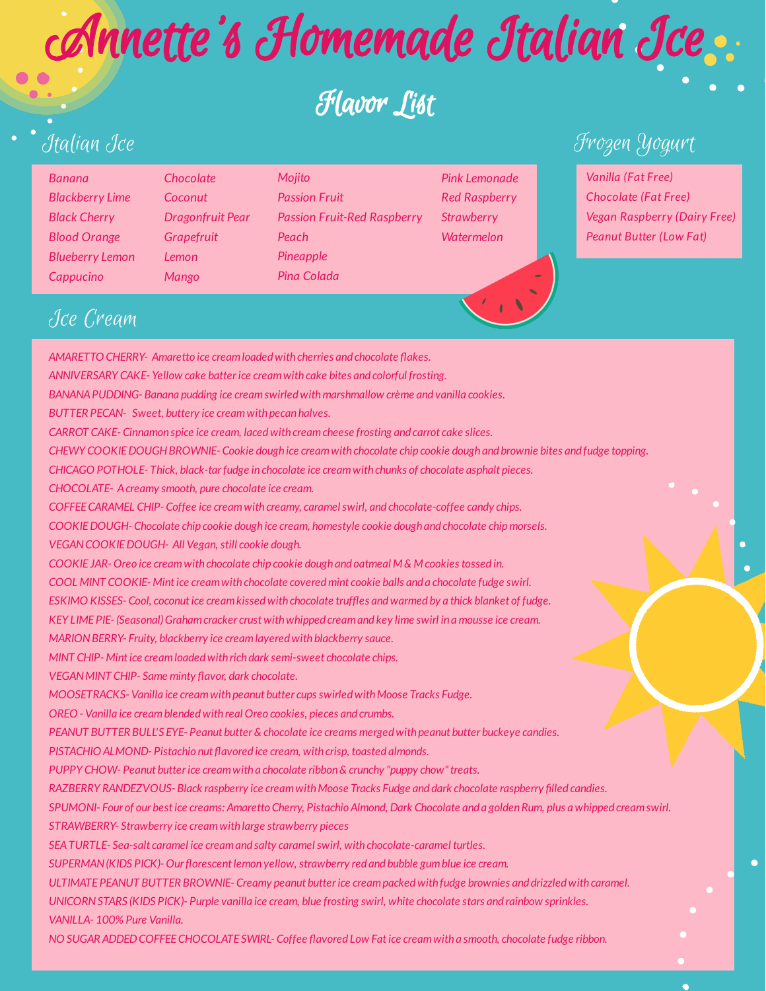*AMARETTO CHERRY- Amaretto ice creamloadedwith cherries and chocolate akes. ANNIVERSARY CAKE- Yellow cake batterice creamwith cake bites and colorful frosting. BANANAPUDDING- Banana pudding ice creamswirledwithmarshmallow crème and vanilla cookies. BUTTER PECAN- Sweet, buttery ice creamwith pecan halves. CARROT CAKE- Cinnamon spice ice cream, lacedwith creamcheese frosting and carrot cake slices.* CHEWY COOKIE DOUGH BROWNIE- Cookie dough ice cream with chocolate chip cookie dough and brownie bites and fudge topping. *CHICAGO POTHOLE- Thick, black-tarfudge in chocolate ice creamwith chunks of chocolate asphalt pieces. CHOCOLATE- Acreamy smooth, pure chocolate ice cream. COFFEECARAMEL CHIP- Coffee ice creamwith creamy, caramelswirl, and chocolate-coffee candy chips. COOKIEDOUGH- Chocolate chip cookie dough ice cream, homestyle cookie dough and chocolate chipmorsels. VEGANCOOKIEDOUGH- All Vegan, still cookie dough. COOKIE JAR- Oreo ice creamwith chocolate chip cookie dough and oatmeal M & M cookiestossed in. COOL MINT COOKIE- Mintice creamwith chocolate coveredmint cookie balls and a chocolate fudge swirl. ESKIMO KISSES*- *Cool, coconut ice cream kissed with chocolate truffles and warmed by a thick blanket of fudge. KEY LIMEPIE- (Seasonal)Grahamcracker crust withwhipped creamand key lime swirl in a mousse ice cream. MARIONBERRY- Fruity, blackberry ice creamlayeredwith blackberry sauce.*

*MINT CHIP- Mintice creamloadedwith rich dark semi-sweet chocolate chips.*

*VEGAN MINT CHIP- Same minty flavor, dark chocolate.* 

*MOOSETRACKS- Vanilla ice creamwith peanut butter cupsswirledwithMoose Tracks Fudge.*

*OREO - Vanilla ice creamblendedwith real Oreo cookies, pieces and crumbs.*

*PEANUT BUTTER BULL'S EYE- Peanut butter& chocolate ice creams mergedwith peanut butter buckeye candies.*

*PISTACHIO ALMOND- Pistachio nut avored ice cream, with crisp, toasted almonds.*

*PUPPY CHOW- Peanut butterice creamwith a chocolate ribbon& crunchy "puppy chow"treats.*

*RAZBERRY RANDEZVOUS- Black raspberry ice creamwithMoose Tracks Fudge and dark chocolate raspberry lled candies.*

SPUMONI- Four of our best ice creams: Amaretto Cherry, Pistachio Almond, Dark Chocolate and a golden Rum, plus a whipped cream swirl.

*STRAWBERRY- Strawberry ice creamwith large strawberry pieces*

*SEATURTLE- Sea-salt caramel ice creamand salty caramelswirl, with chocolate-caramel turtles.*

*SUPERMAN (KIDS PICK)- Our florescent lemon yellow, strawberry red and bubble gum blue ice cream.* 

*ULTIMATEPEANUT BUTTER BROWNIE- Creamy peanut butterice creampackedwith fudge brownies and drizzledwith caramel.*

UNICORN STARS (KIDS PICK)- Purple vanilla ice cream, blue frosting swirl, white chocolate stars and rainbow sprinkles.

*VANILLA- 100% Pure Vanilla.*

*NO SUGAR ADDEDCOFFEECHOCOLATE SWIRL- Coffee avored Low Fatice creamwith a smooth, chocolate fudge ribbon.*

# Italian Ice

*Banana Blackberry Lime Black Cherry Blood Orange Blueberry Lemon Cappucino*

Frozen Yogurt

*Vanilla (Fat Free) Chocolate (Fat Free) Vegan Raspberry (Dairy Free) Peanut Butter (Low Fat)*

### Ice Cream

# Annette 's Homemade Italian Ice

# Flavor List

*Chocolate Coconut Dragonfruit Pear Grapefruit Lemon Mango*

*Mojito Passion Fruit Passion Fruit-Red Raspberry Peach Pineapple Pina Colada*

*Pink Lemonade Red Raspberry Strawberry Watermelon*